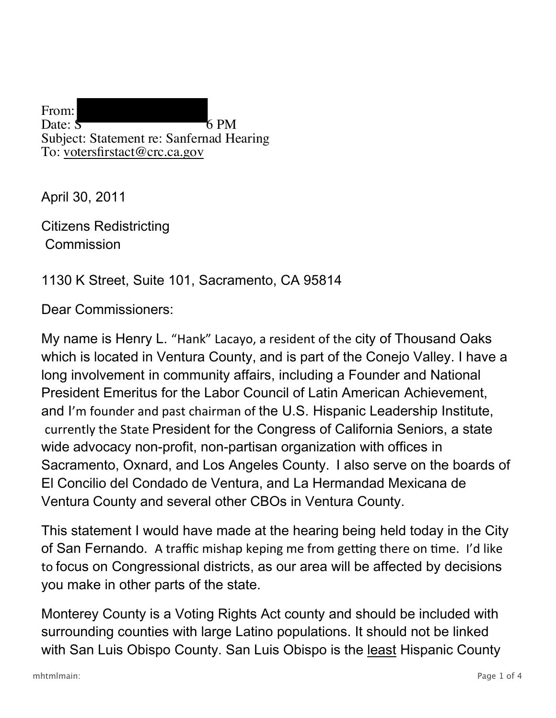From: Date:  $S = 6$  PM Subject: Statement re: Sanfernad Hearing To: votersfirstact@crc.ca.gov

April 30, 2011

Citizens Redistricting **Commission** 

## 1130 K Street, Suite 101, Sacramento, CA 95814

Dear Commissioners:

My name is Henry L. "Hank" Lacayo, a resident of the city of Thousand Oaks which is located in Ventura County, and is part of the Conejo Valley. I have a long involvement in community affairs, including a Founder and National President Emeritus for the Labor Council of Latin American Achievement, and I'm founder and past chairman of the U.S. Hispanic Leadership Institute, currently the State President for the Congress of California Seniors, a state wide advocacy non-profit, non-partisan organization with offices in Sacramento, Oxnard, and Los Angeles County. I also serve on the boards of El Concilio del Condado de Ventura, and La Hermandad Mexicana de Ventura County and several other CBOs in Ventura County.

This statement I would have made at the hearing being held today in the City of San Fernando. A traffic mishap keping me from getting there on time. I'd like to focus on Congressional districts, as our area will be affected by decisions you make in other parts of the state.

Monterey County is a Voting Rights Act county and should be included with surrounding counties with large Latino populations. It should not be linked with San Luis Obispo County. San Luis Obispo is the least Hispanic County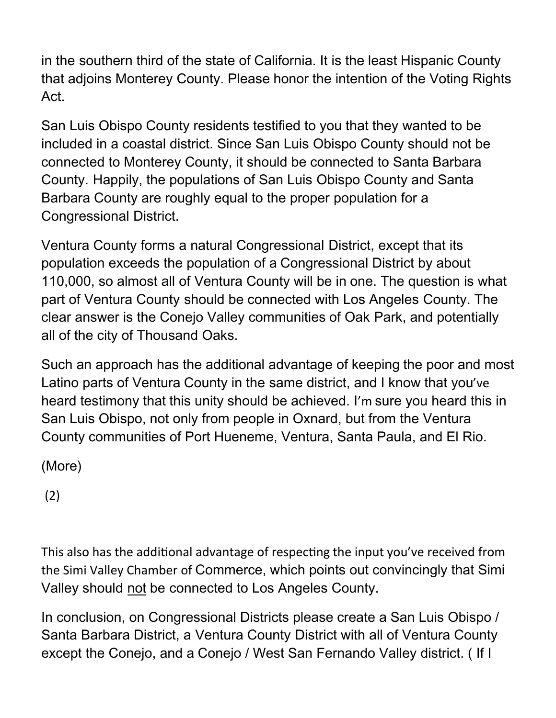in the southern third of the state of California. It is the least Hispanic County that adjoins Monterey County. Please honor the intention of the Voting Rights Act.

San Luis Obispo County residents testified to you that they wanted to be included in a coastal district. Since San Luis Obispo County should not be connected to Monterey County, it should be connected to Santa Barbara County. Happily, the populations of San Luis Obispo County and Santa Barbara County are roughly equal to the proper population for a Congressional District.

Ventura County forms a natural Congressional District, except that its population exceeds the population of a Congressional District by about 110,000, so almost all of Ventura County will be in one. The question is what part of Ventura County should be connected with Los Angeles County. The clear answer is the Conejo Valley communities of Oak Park, and potentially all of the city of Thousand Oaks.

Such an approach has the additional advantage of keeping the poor and most Latino parts of Ventura County in the same district, and I know that you've heard testimony that this unity should be achieved. I'm sure you heard this in San Luis Obispo, not only from people in Oxnard, but from the Ventura County communities of Port Hueneme, Ventura, Santa Paula, and El Rio.

(More)

(2)

This also has the additional advantage of respecting the input you've received from the Simi Valley Chamber of Commerce, which points out convincingly that Simi Valley should not be connected to Los Angeles County.

In conclusion, on Congressional Districts please create a San Luis Obispo / Santa Barbara District, a Ventura County District with all of Ventura County except the Conejo, and a Conejo / West San Fernando Valley district. ( If I